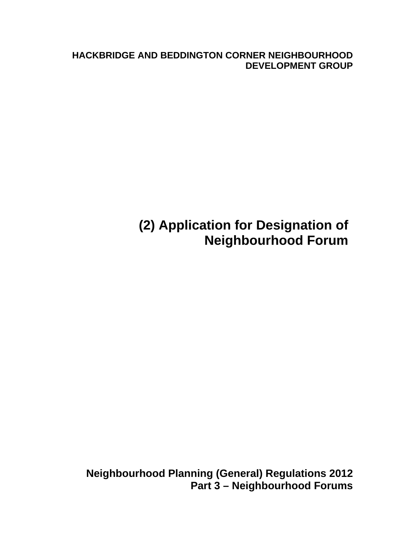**HACKBRIDGE AND BEDDINGTON CORNER NEIGHBOURHOOD DEVELOPMENT GROUP** 

# **(2) Application for Designation of Neighbourhood Forum**

**Neighbourhood Planning (General) Regulations 2012 Part 3 – Neighbourhood Forums**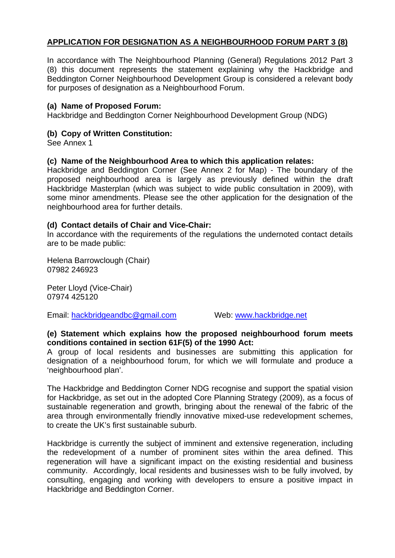# **APPLICATION FOR DESIGNATION AS A NEIGHBOURHOOD FORUM PART 3 (8)**

In accordance with The Neighbourhood Planning (General) Regulations 2012 Part 3 (8) this document represents the statement explaining why the Hackbridge and Beddington Corner Neighbourhood Development Group is considered a relevant body for purposes of designation as a Neighbourhood Forum.

#### **(a) Name of Proposed Forum:**

Hackbridge and Beddington Corner Neighbourhood Development Group (NDG)

#### **(b) Copy of Written Constitution:**

See Annex 1

#### **(c) Name of the Neighbourhood Area to which this application relates:**

Hackbridge and Beddington Corner (See Annex 2 for Map) - The boundary of the proposed neighbourhood area is largely as previously defined within the draft Hackbridge Masterplan (which was subject to wide public consultation in 2009), with some minor amendments. Please see the other application for the designation of the neighbourhood area for further details.

#### **(d) Contact details of Chair and Vice-Chair:**

In accordance with the requirements of the regulations the undernoted contact details are to be made public:

Helena Barrowclough (Chair) 07982 246923

Peter Lloyd (Vice-Chair) 07974 425120

Email: hackbridgeandbc@gmail.com Web: www.hackbridge.net

# **(e) Statement which explains how the proposed neighbourhood forum meets conditions contained in section 61F(5) of the 1990 Act:**

A group of local residents and businesses are submitting this application for designation of a neighbourhood forum, for which we will formulate and produce a 'neighbourhood plan'.

The Hackbridge and Beddington Corner NDG recognise and support the spatial vision for Hackbridge, as set out in the adopted Core Planning Strategy (2009), as a focus of sustainable regeneration and growth, bringing about the renewal of the fabric of the area through environmentally friendly innovative mixed-use redevelopment schemes, to create the UK's first sustainable suburb.

Hackbridge is currently the subject of imminent and extensive regeneration, including the redevelopment of a number of prominent sites within the area defined. This regeneration will have a significant impact on the existing residential and business community. Accordingly, local residents and businesses wish to be fully involved, by consulting, engaging and working with developers to ensure a positive impact in Hackbridge and Beddington Corner.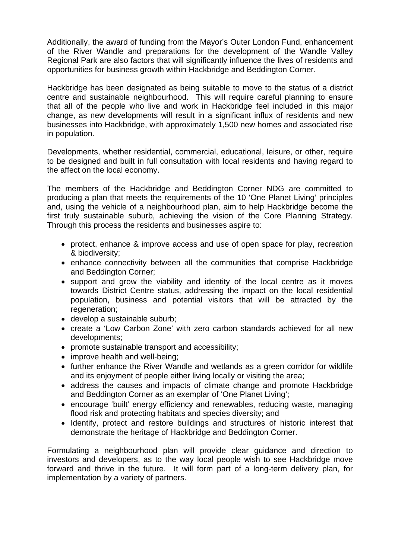Additionally, the award of funding from the Mayor's Outer London Fund, enhancement of the River Wandle and preparations for the development of the Wandle Valley Regional Park are also factors that will significantly influence the lives of residents and opportunities for business growth within Hackbridge and Beddington Corner.

Hackbridge has been designated as being suitable to move to the status of a district centre and sustainable neighbourhood. This will require careful planning to ensure that all of the people who live and work in Hackbridge feel included in this major change, as new developments will result in a significant influx of residents and new businesses into Hackbridge, with approximately 1,500 new homes and associated rise in population.

Developments, whether residential, commercial, educational, leisure, or other, require to be designed and built in full consultation with local residents and having regard to the affect on the local economy.

The members of the Hackbridge and Beddington Corner NDG are committed to producing a plan that meets the requirements of the 10 'One Planet Living' principles and, using the vehicle of a neighbourhood plan, aim to help Hackbridge become the first truly sustainable suburb, achieving the vision of the Core Planning Strategy. Through this process the residents and businesses aspire to:

- protect, enhance & improve access and use of open space for play, recreation & biodiversity;
- enhance connectivity between all the communities that comprise Hackbridge and Beddington Corner;
- support and grow the viability and identity of the local centre as it moves towards District Centre status, addressing the impact on the local residential population, business and potential visitors that will be attracted by the regeneration;
- develop a sustainable suburb;
- create a 'Low Carbon Zone' with zero carbon standards achieved for all new developments;
- promote sustainable transport and accessibility;
- improve health and well-being;
- further enhance the River Wandle and wetlands as a green corridor for wildlife and its enjoyment of people either living locally or visiting the area;
- address the causes and impacts of climate change and promote Hackbridge and Beddington Corner as an exemplar of 'One Planet Living';
- encourage 'built' energy efficiency and renewables, reducing waste, managing flood risk and protecting habitats and species diversity; and
- Identify, protect and restore buildings and structures of historic interest that demonstrate the heritage of Hackbridge and Beddington Corner.

Formulating a neighbourhood plan will provide clear guidance and direction to investors and developers, as to the way local people wish to see Hackbridge move forward and thrive in the future. It will form part of a long-term delivery plan, for implementation by a variety of partners.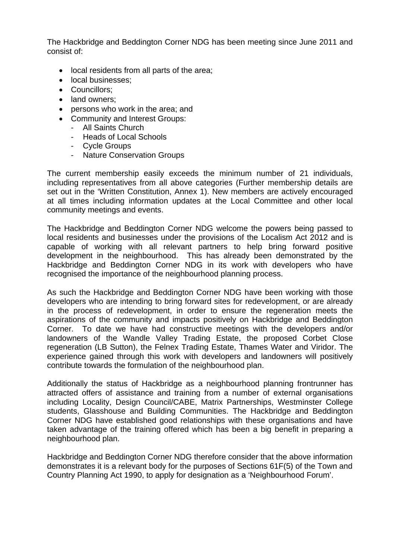The Hackbridge and Beddington Corner NDG has been meeting since June 2011 and consist of:

- local residents from all parts of the area;
- local businesses;
- Councillors;
- land owners:
- persons who work in the area; and
- Community and Interest Groups:
	- All Saints Church
	- Heads of Local Schools
	- Cycle Groups
	- Nature Conservation Groups

The current membership easily exceeds the minimum number of 21 individuals, including representatives from all above categories (Further membership details are set out in the 'Written Constitution, Annex 1). New members are actively encouraged at all times including information updates at the Local Committee and other local community meetings and events.

The Hackbridge and Beddington Corner NDG welcome the powers being passed to local residents and businesses under the provisions of the Localism Act 2012 and is capable of working with all relevant partners to help bring forward positive development in the neighbourhood. This has already been demonstrated by the Hackbridge and Beddington Corner NDG in its work with developers who have recognised the importance of the neighbourhood planning process.

As such the Hackbridge and Beddington Corner NDG have been working with those developers who are intending to bring forward sites for redevelopment, or are already in the process of redevelopment, in order to ensure the regeneration meets the aspirations of the community and impacts positively on Hackbridge and Beddington Corner. To date we have had constructive meetings with the developers and/or landowners of the Wandle Valley Trading Estate, the proposed Corbet Close regeneration (LB Sutton), the Felnex Trading Estate, Thames Water and Viridor. The experience gained through this work with developers and landowners will positively contribute towards the formulation of the neighbourhood plan.

Additionally the status of Hackbridge as a neighbourhood planning frontrunner has attracted offers of assistance and training from a number of external organisations including Locality, Design Council/CABE, Matrix Partnerships, Westminster College students, Glasshouse and Building Communities. The Hackbridge and Beddington Corner NDG have established good relationships with these organisations and have taken advantage of the training offered which has been a big benefit in preparing a neighbourhood plan.

Hackbridge and Beddington Corner NDG therefore consider that the above information demonstrates it is a relevant body for the purposes of Sections 61F(5) of the Town and Country Planning Act 1990, to apply for designation as a 'Neighbourhood Forum'.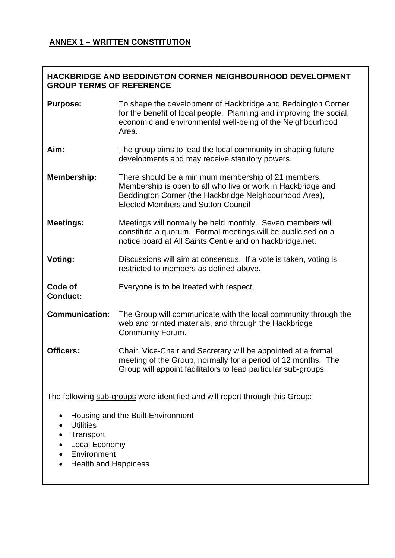# **ANNEX 1 – WRITTEN CONSTITUTION**

# **HACKBRIDGE AND BEDDINGTON CORNER NEIGHBOURHOOD DEVELOPMENT GROUP TERMS OF REFERENCE**

- **Purpose:** To shape the development of Hackbridge and Beddington Corner for the benefit of local people. Planning and improving the social, economic and environmental well-being of the Neighbourhood Area.
- Aim: The group aims to lead the local community in shaping future developments and may receive statutory powers.
- **Membership:** There should be a minimum membership of 21 members. Membership is open to all who live or work in Hackbridge and Beddington Corner (the Hackbridge Neighbourhood Area), Elected Members and Sutton Council
- **Meetings:** Meetings will normally be held monthly. Seven members will constitute a quorum. Formal meetings will be publicised on a notice board at All Saints Centre and on hackbridge.net.
- **Voting:** Discussions will aim at consensus. If a vote is taken, voting is restricted to members as defined above.

**Code of** Everyone is to be treated with respect.

**Conduct:** 

**Communication:** The Group will communicate with the local community through the web and printed materials, and through the Hackbridge Community Forum.

**Officers:** Chair, Vice-Chair and Secretary will be appointed at a formal meeting of the Group, normally for a period of 12 months. The Group will appoint facilitators to lead particular sub-groups.

The following sub-groups were identified and will report through this Group:

- Housing and the Built Environment
- Utilities
- Transport
- Local Economy
- Environment
- Health and Happiness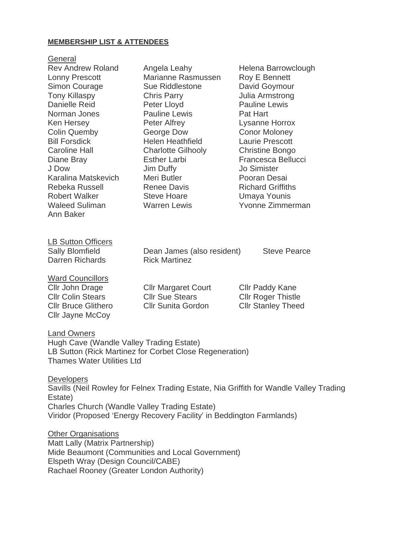#### **MEMBERSHIP LIST & ATTENDEES**

| General<br><b>Rev Andrew Roland</b><br><b>Lonny Prescott</b><br>Simon Courage<br><b>Tony Killaspy</b><br>Danielle Reid<br>Norman Jones<br>Ken Hersey<br><b>Colin Quemby</b><br><b>Bill Forsdick</b><br><b>Caroline Hall</b><br>Diane Bray<br>J Dow<br>Karalina Matskevich<br><b>Rebeka Russell</b><br><b>Robert Walker</b><br><b>Waleed Suliman</b><br>Ann Baker | Angela Leahy<br>Marianne Rasmussen<br><b>Sue Riddlestone</b><br><b>Chris Parry</b><br>Peter Lloyd<br><b>Pauline Lewis</b><br>Peter Alfrey<br>George Dow<br><b>Helen Heathfield</b><br><b>Charlotte Gilhooly</b><br><b>Esther Larbi</b><br>Jim Duffy<br>Meri Butler<br><b>Renee Davis</b><br><b>Steve Hoare</b><br><b>Warren Lewis</b> | Helena Barrowclough<br><b>Roy E Bennett</b><br>David Goymour<br>Julia Armstrong<br><b>Pauline Lewis</b><br>Pat Hart<br><b>Lysanne Horrox</b><br><b>Conor Moloney</b><br><b>Laurie Prescott</b><br><b>Christine Bongo</b><br>Francesca Bellucci<br>Jo Simister<br>Pooran Desai<br><b>Richard Griffiths</b><br>Umaya Younis<br>Yvonne Zimmerman |
|------------------------------------------------------------------------------------------------------------------------------------------------------------------------------------------------------------------------------------------------------------------------------------------------------------------------------------------------------------------|---------------------------------------------------------------------------------------------------------------------------------------------------------------------------------------------------------------------------------------------------------------------------------------------------------------------------------------|-----------------------------------------------------------------------------------------------------------------------------------------------------------------------------------------------------------------------------------------------------------------------------------------------------------------------------------------------|
| <b>LB Sutton Officers</b><br>Sally Blomfield<br><b>Darren Richards</b><br><b>Ward Councillors</b><br>Cllr John Drage<br><b>Cllr Colin Stears</b><br><b>Cllr Bruce Glithero</b><br>Cllr Jayne McCoy                                                                                                                                                               | Dean James (also resident)<br><b>Rick Martinez</b><br><b>Cllr Margaret Court</b><br><b>Cllr Sue Stears</b><br><b>Cllr Sunita Gordon</b>                                                                                                                                                                                               | <b>Steve Pearce</b><br><b>Cllr Paddy Kane</b><br><b>Cllr Roger Thistle</b><br><b>Cllr Stanley Theed</b>                                                                                                                                                                                                                                       |

Land Owners

Hugh Cave (Wandle Valley Trading Estate) LB Sutton (Rick Martinez for Corbet Close Regeneration) Thames Water Utilities Ltd

**Developers** Savills (Neil Rowley for Felnex Trading Estate, Nia Griffith for Wandle Valley Trading Estate) Charles Church (Wandle Valley Trading Estate) Viridor (Proposed 'Energy Recovery Facility' in Beddington Farmlands)

Other Organisations Matt Lally (Matrix Partnership) Mide Beaumont (Communities and Local Government) Elspeth Wray (Design Council/CABE) Rachael Rooney (Greater London Authority)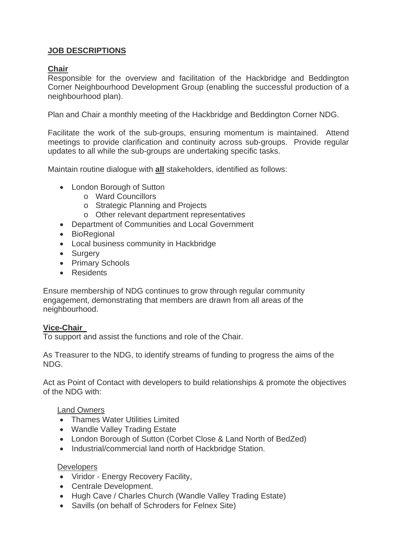# **JOB DESCRIPTIONS**

# **Chair**

Responsible for the overview and facilitation of the Hackbridge and Beddington Corner Neighbourhood Development Group (enabling the successful production of a neighbourhood plan).

Plan and Chair a monthly meeting of the Hackbridge and Beddington Corner NDG.

Facilitate the work of the sub-groups, ensuring momentum is maintained. Attend meetings to provide clarification and continuity across sub-groups. Provide regular updates to all while the sub-groups are undertaking specific tasks.

Maintain routine dialogue with **all** stakeholders, identified as follows:

- London Borough of Sutton
	- o Ward Councillors
	- o Strategic Planning and Projects
	- o Other relevant department representatives
- Department of Communities and Local Government
- BioRegional
- Local business community in Hackbridge
- Surgery
- Primary Schools
- Residents

Ensure membership of NDG continues to grow through regular community engagement, demonstrating that members are drawn from all areas of the neighbourhood.

# **Vice-Chair**

To support and assist the functions and role of the Chair.

As Treasurer to the NDG, to identify streams of funding to progress the aims of the NDG.

Act as Point of Contact with developers to build relationships & promote the objectives of the NDG with:

# Land Owners

- Thames Water Utilities Limited
- Wandle Valley Trading Estate
- London Borough of Sutton (Corbet Close & Land North of BedZed)
- Industrial/commercial land north of Hackbridge Station.

#### **Developers**

- Viridor Energy Recovery Facility,
- Centrale Development.
- Hugh Cave / Charles Church (Wandle Valley Trading Estate)
- Savills (on behalf of Schroders for Felnex Site)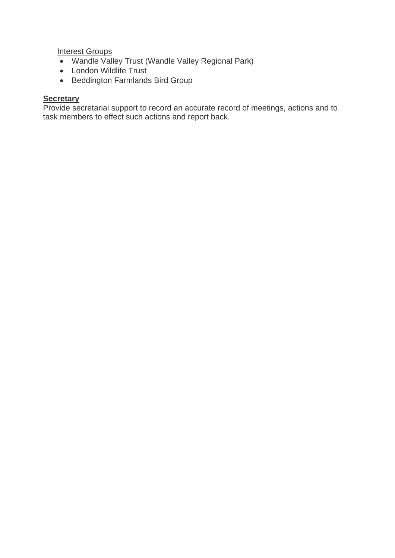**Interest Groups** 

- Wandle Valley Trust (Wandle Valley Regional Park)
- London Wildlife Trust
- Beddington Farmlands Bird Group

# **Secretary**

Provide secretarial support to record an accurate record of meetings, actions and to task members to effect such actions and report back.